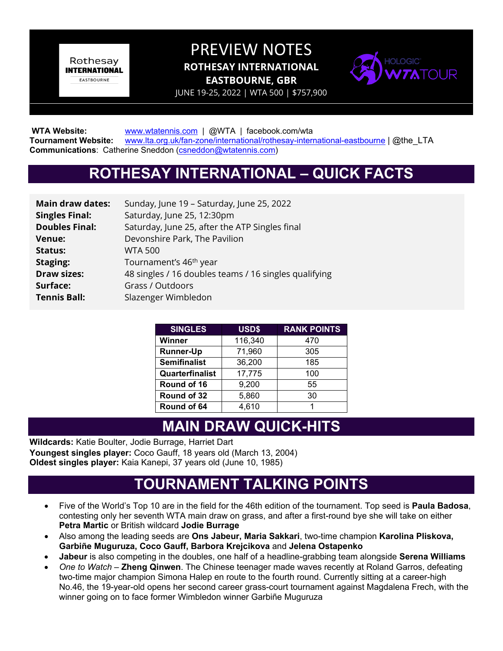Rothesay **INTERNATIONAL EASTBOURNE** 

## PREVIEW NOTES **ROTHESAY INTERNATIONAL EASTBOURNE, GBR**



JUNE 19-25, 2022 | WTA 500 | \$757,900

WTA Website: **[www.wtatennis.com](http://www.wtatennis.com/)** | @WTA | facebook.com/wta **Tournament Website:** [www.lta.org.uk/fan-zone/international/rothesay-international-eastbourne](http://www.lta.org.uk/fan-zone/international/rothesay-international-eastbourne) | @the\_LTA **Communications**: Catherine Sneddon [\(csneddon@wtatennis.com\)](mailto:csneddon@wtatennis.com)

# **ROTHESAY INTERNATIONAL – QUICK FACTS**

| <b>Main draw dates:</b> | Sunday, June 19 - Saturday, June 25, 2022             |
|-------------------------|-------------------------------------------------------|
| <b>Singles Final:</b>   | Saturday, June 25, 12:30pm                            |
| <b>Doubles Final:</b>   | Saturday, June 25, after the ATP Singles final        |
| <b>Venue:</b>           | Devonshire Park, The Pavilion                         |
| <b>Status:</b>          | <b>WTA 500</b>                                        |
| Staging:                | Tournament's 46 <sup>th</sup> year                    |
| <b>Draw sizes:</b>      | 48 singles / 16 doubles teams / 16 singles qualifying |
| Surface:                | Grass / Outdoors                                      |
| <b>Tennis Ball:</b>     | Slazenger Wimbledon                                   |
|                         |                                                       |

| <b>SINGLES</b>      | USD\$   | <b>RANK POINTS</b> |
|---------------------|---------|--------------------|
| Winner              | 116,340 | 470                |
| <b>Runner-Up</b>    | 71,960  | 305                |
| <b>Semifinalist</b> | 36,200  | 185                |
| Quarterfinalist     | 17,775  | 100                |
| Round of 16         | 9,200   | 55                 |
| Round of 32         | 5,860   | 30                 |
| Round of 64         | 4,610   |                    |

## **MAIN DRAW QUICK-HITS**

**Wildcards:** Katie Boulter, Jodie Burrage, Harriet Dart **Youngest singles player:** Coco Gauff, 18 years old (March 13, 2004) **Oldest singles player:** Kaia Kanepi, 37 years old (June 10, 1985)

## **TOURNAMENT TALKING POINTS**

- Five of the World's Top 10 are in the field for the 46th edition of the tournament. Top seed is **Paula Badosa**, contesting only her seventh WTA main draw on grass, and after a first-round bye she will take on either **Petra Martic** or British wildcard **Jodie Burrage**
- Also among the leading seeds are **Ons Jabeur, Maria Sakkari**, two-time champion **Karolina Pliskova, Garbiñe Muguruza, Coco Gauff, Barbora Krejcikova** and **Jelena Ostapenko**
- **Jabeur** is also competing in the doubles, one half of a headline-grabbing team alongside **Serena Williams**
- *One to Watch* **Zheng Qinwen**. The Chinese teenager made waves recently at Roland Garros, defeating two-time major champion Simona Halep en route to the fourth round. Currently sitting at a career-high No.46, the 19-year-old opens her second career grass-court tournament against Magdalena Frech, with the winner going on to face former Wimbledon winner Garbiñe Muguruza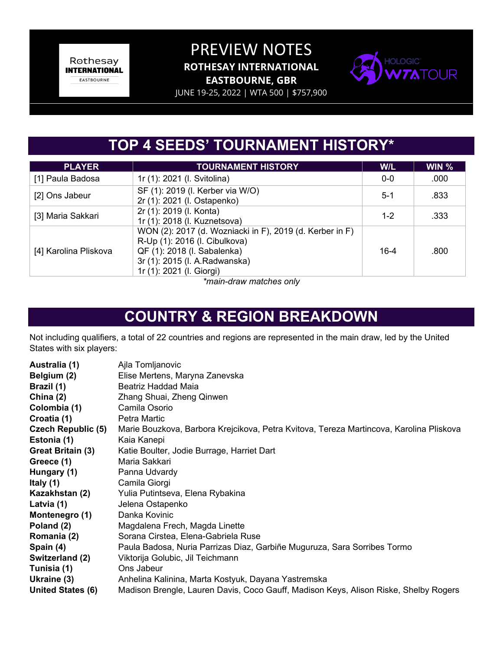Rothesay **INTERNATIONAL** EASTBOURNE

#### PREVIEW NOTES **ROTHESAY INTERNATIONAL EASTBOURNE, GBR**



JUNE 19-25, 2022 | WTA 500 | \$757,900

# **TOP 4 SEEDS' TOURNAMENT HISTORY\***

| <b>PLAYER</b>         | <b>TOURNAMENT HISTORY</b>                                                                                                                                                             | W/L      | $WIN$ % |
|-----------------------|---------------------------------------------------------------------------------------------------------------------------------------------------------------------------------------|----------|---------|
| [1] Paula Badosa      | 1r (1): 2021 (I. Svitolina)                                                                                                                                                           | $0 - 0$  | .000    |
| [2] Ons Jabeur        | SF (1): 2019 (I. Kerber via W/O)<br>2r (1): 2021 (I. Ostapenko)                                                                                                                       | $5-1$    | .833    |
| [3] Maria Sakkari     | 2r (1): 2019 (I. Konta)<br>1r (1): 2018 (I. Kuznetsova)                                                                                                                               | $1 - 2$  | .333    |
| [4] Karolina Pliskova | WON (2): 2017 (d. Wozniacki in F), 2019 (d. Kerber in F)<br>R-Up (1): 2016 (I. Cibulkova)<br>QF (1): 2018 (I. Sabalenka)<br>3r (1): 2015 (I. A.Radwanska)<br>1r (1): 2021 (I. Giorgi) | $16 - 4$ | .800    |

*\*main-draw matches only*

# **COUNTRY & REGION BREAKDOWN**

Not including qualifiers, a total of 22 countries and regions are represented in the main draw, led by the United States with six players:

| Australia (1)             | Ajla Tomljanovic                                                                        |
|---------------------------|-----------------------------------------------------------------------------------------|
| Belgium (2)               | Elise Mertens, Maryna Zanevska                                                          |
| Brazil (1)                | Beatriz Haddad Maia                                                                     |
| China $(2)$               | Zhang Shuai, Zheng Qinwen                                                               |
| Colombia (1)              | Camila Osorio                                                                           |
| Croatia (1)               | Petra Martic                                                                            |
| <b>Czech Republic (5)</b> | Marie Bouzkova, Barbora Krejcikova, Petra Kvitova, Tereza Martincova, Karolina Pliskova |
| Estonia (1)               | Kaia Kanepi                                                                             |
| Great Britain (3)         | Katie Boulter, Jodie Burrage, Harriet Dart                                              |
| Greece (1)                | Maria Sakkari                                                                           |
| Hungary (1)               | Panna Udvardy                                                                           |
| Italy (1)                 | Camila Giorgi                                                                           |
| Kazakhstan (2)            | Yulia Putintseva, Elena Rybakina                                                        |
| Latvia (1)                | Jelena Ostapenko                                                                        |
| Montenegro (1)            | Danka Kovinic                                                                           |
| Poland (2)                | Magdalena Frech, Magda Linette                                                          |
| Romania (2)               | Sorana Cirstea, Elena-Gabriela Ruse                                                     |
| Spain (4)                 | Paula Badosa, Nuria Parrizas Diaz, Garbiñe Muguruza, Sara Sorribes Tormo                |
| Switzerland (2)           | Viktorija Golubic, Jil Teichmann                                                        |
| Tunisia (1)               | Ons Jabeur                                                                              |
| Ukraine (3)               | Anhelina Kalinina, Marta Kostyuk, Dayana Yastremska                                     |
| United States (6)         | Madison Brengle, Lauren Davis, Coco Gauff, Madison Keys, Alison Riske, Shelby Rogers    |